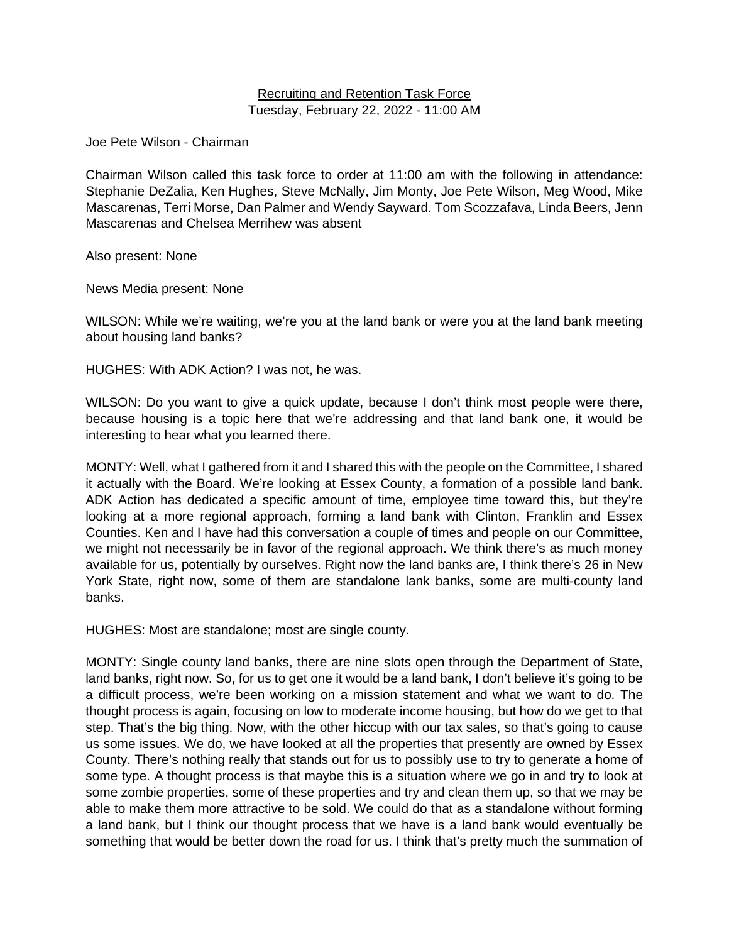#### Recruiting and Retention Task Force Tuesday, February 22, 2022 - 11:00 AM

Joe Pete Wilson - Chairman

Chairman Wilson called this task force to order at 11:00 am with the following in attendance: Stephanie DeZalia, Ken Hughes, Steve McNally, Jim Monty, Joe Pete Wilson, Meg Wood, Mike Mascarenas, Terri Morse, Dan Palmer and Wendy Sayward. Tom Scozzafava, Linda Beers, Jenn Mascarenas and Chelsea Merrihew was absent

Also present: None

News Media present: None

WILSON: While we're waiting, we're you at the land bank or were you at the land bank meeting about housing land banks?

HUGHES: With ADK Action? I was not, he was.

WILSON: Do you want to give a quick update, because I don't think most people were there, because housing is a topic here that we're addressing and that land bank one, it would be interesting to hear what you learned there.

MONTY: Well, what I gathered from it and I shared this with the people on the Committee, I shared it actually with the Board. We're looking at Essex County, a formation of a possible land bank. ADK Action has dedicated a specific amount of time, employee time toward this, but they're looking at a more regional approach, forming a land bank with Clinton, Franklin and Essex Counties. Ken and I have had this conversation a couple of times and people on our Committee, we might not necessarily be in favor of the regional approach. We think there's as much money available for us, potentially by ourselves. Right now the land banks are, I think there's 26 in New York State, right now, some of them are standalone lank banks, some are multi-county land banks.

HUGHES: Most are standalone; most are single county.

MONTY: Single county land banks, there are nine slots open through the Department of State, land banks, right now. So, for us to get one it would be a land bank, I don't believe it's going to be a difficult process, we're been working on a mission statement and what we want to do. The thought process is again, focusing on low to moderate income housing, but how do we get to that step. That's the big thing. Now, with the other hiccup with our tax sales, so that's going to cause us some issues. We do, we have looked at all the properties that presently are owned by Essex County. There's nothing really that stands out for us to possibly use to try to generate a home of some type. A thought process is that maybe this is a situation where we go in and try to look at some zombie properties, some of these properties and try and clean them up, so that we may be able to make them more attractive to be sold. We could do that as a standalone without forming a land bank, but I think our thought process that we have is a land bank would eventually be something that would be better down the road for us. I think that's pretty much the summation of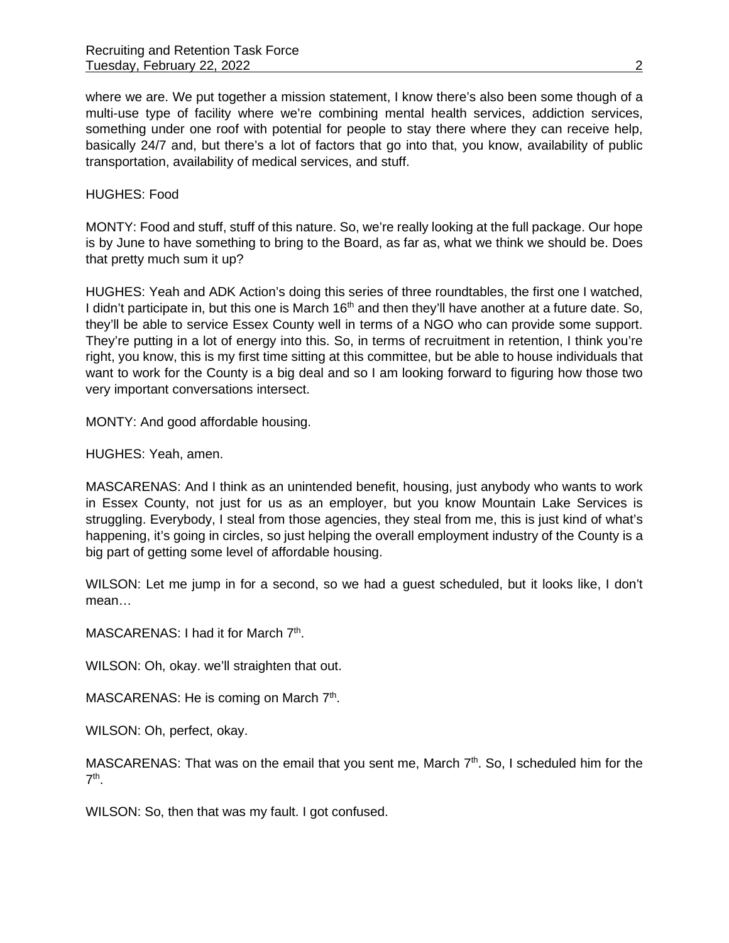where we are. We put together a mission statement, I know there's also been some though of a multi-use type of facility where we're combining mental health services, addiction services, something under one roof with potential for people to stay there where they can receive help, basically 24/7 and, but there's a lot of factors that go into that, you know, availability of public transportation, availability of medical services, and stuff.

HUGHES: Food

MONTY: Food and stuff, stuff of this nature. So, we're really looking at the full package. Our hope is by June to have something to bring to the Board, as far as, what we think we should be. Does that pretty much sum it up?

HUGHES: Yeah and ADK Action's doing this series of three roundtables, the first one I watched, I didn't participate in, but this one is March 16<sup>th</sup> and then they'll have another at a future date. So, they'll be able to service Essex County well in terms of a NGO who can provide some support. They're putting in a lot of energy into this. So, in terms of recruitment in retention, I think you're right, you know, this is my first time sitting at this committee, but be able to house individuals that want to work for the County is a big deal and so I am looking forward to figuring how those two very important conversations intersect.

MONTY: And good affordable housing.

HUGHES: Yeah, amen.

MASCARENAS: And I think as an unintended benefit, housing, just anybody who wants to work in Essex County, not just for us as an employer, but you know Mountain Lake Services is struggling. Everybody, I steal from those agencies, they steal from me, this is just kind of what's happening, it's going in circles, so just helping the overall employment industry of the County is a big part of getting some level of affordable housing.

WILSON: Let me jump in for a second, so we had a guest scheduled, but it looks like, I don't mean…

MASCARENAS: I had it for March 7<sup>th</sup>.

WILSON: Oh, okay. we'll straighten that out.

MASCARENAS: He is coming on March 7<sup>th</sup>.

WILSON: Oh, perfect, okay.

MASCARENAS: That was on the email that you sent me, March 7<sup>th</sup>. So, I scheduled him for the  $7<sup>th</sup>$ .

WILSON: So, then that was my fault. I got confused.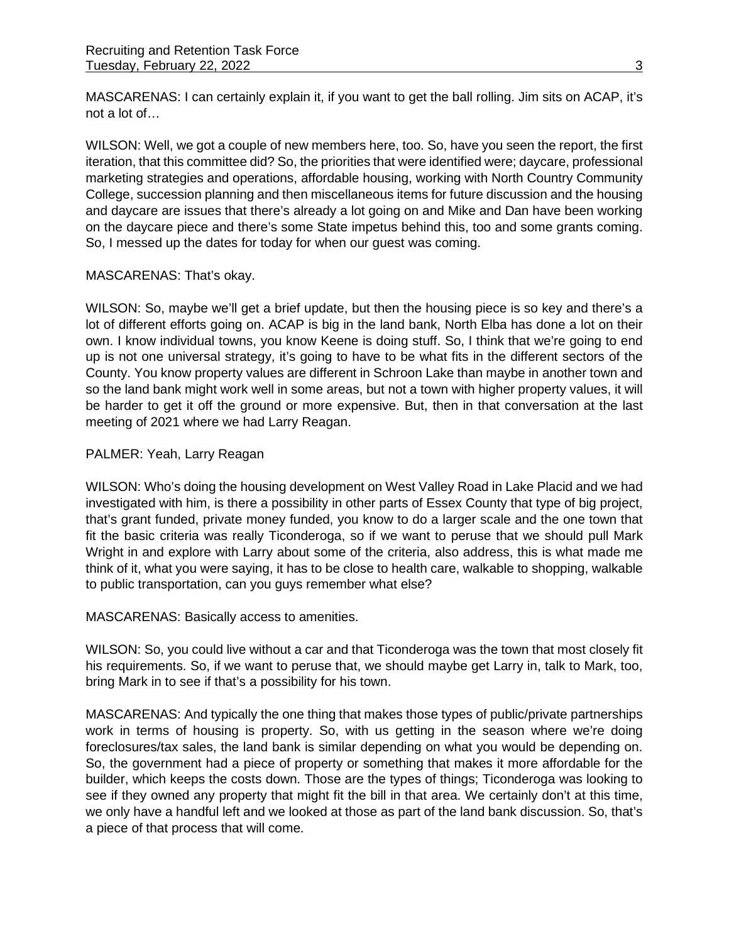MASCARENAS: I can certainly explain it, if you want to get the ball rolling. Jim sits on ACAP, it's not a lot of…

WILSON: Well, we got a couple of new members here, too. So, have you seen the report, the first iteration, that this committee did? So, the priorities that were identified were; daycare, professional marketing strategies and operations, affordable housing, working with North Country Community College, succession planning and then miscellaneous items for future discussion and the housing and daycare are issues that there's already a lot going on and Mike and Dan have been working on the daycare piece and there's some State impetus behind this, too and some grants coming. So, I messed up the dates for today for when our guest was coming.

## MASCARENAS: That's okay.

WILSON: So, maybe we'll get a brief update, but then the housing piece is so key and there's a lot of different efforts going on. ACAP is big in the land bank, North Elba has done a lot on their own. I know individual towns, you know Keene is doing stuff. So, I think that we're going to end up is not one universal strategy, it's going to have to be what fits in the different sectors of the County. You know property values are different in Schroon Lake than maybe in another town and so the land bank might work well in some areas, but not a town with higher property values, it will be harder to get it off the ground or more expensive. But, then in that conversation at the last meeting of 2021 where we had Larry Reagan.

## PALMER: Yeah, Larry Reagan

WILSON: Who's doing the housing development on West Valley Road in Lake Placid and we had investigated with him, is there a possibility in other parts of Essex County that type of big project, that's grant funded, private money funded, you know to do a larger scale and the one town that fit the basic criteria was really Ticonderoga, so if we want to peruse that we should pull Mark Wright in and explore with Larry about some of the criteria, also address, this is what made me think of it, what you were saying, it has to be close to health care, walkable to shopping, walkable to public transportation, can you guys remember what else?

MASCARENAS: Basically access to amenities.

WILSON: So, you could live without a car and that Ticonderoga was the town that most closely fit his requirements. So, if we want to peruse that, we should maybe get Larry in, talk to Mark, too, bring Mark in to see if that's a possibility for his town.

MASCARENAS: And typically the one thing that makes those types of public/private partnerships work in terms of housing is property. So, with us getting in the season where we're doing foreclosures/tax sales, the land bank is similar depending on what you would be depending on. So, the government had a piece of property or something that makes it more affordable for the builder, which keeps the costs down. Those are the types of things; Ticonderoga was looking to see if they owned any property that might fit the bill in that area. We certainly don't at this time, we only have a handful left and we looked at those as part of the land bank discussion. So, that's a piece of that process that will come.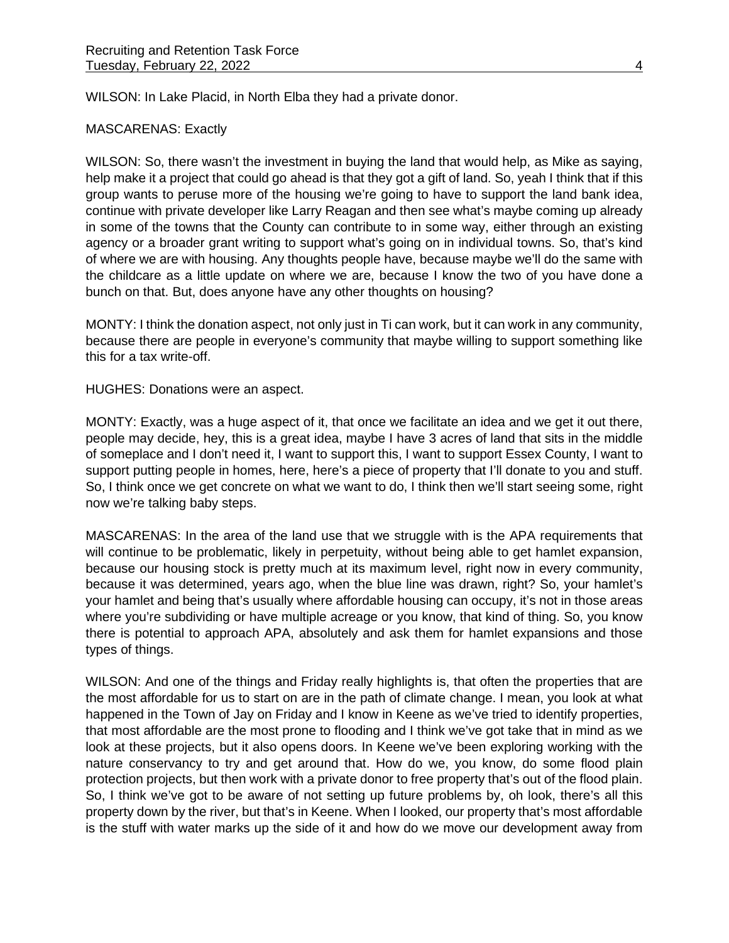WILSON: In Lake Placid, in North Elba they had a private donor.

#### MASCARENAS: Exactly

WILSON: So, there wasn't the investment in buying the land that would help, as Mike as saying, help make it a project that could go ahead is that they got a gift of land. So, yeah I think that if this group wants to peruse more of the housing we're going to have to support the land bank idea, continue with private developer like Larry Reagan and then see what's maybe coming up already in some of the towns that the County can contribute to in some way, either through an existing agency or a broader grant writing to support what's going on in individual towns. So, that's kind of where we are with housing. Any thoughts people have, because maybe we'll do the same with the childcare as a little update on where we are, because I know the two of you have done a bunch on that. But, does anyone have any other thoughts on housing?

MONTY: I think the donation aspect, not only just in Ti can work, but it can work in any community, because there are people in everyone's community that maybe willing to support something like this for a tax write-off.

HUGHES: Donations were an aspect.

MONTY: Exactly, was a huge aspect of it, that once we facilitate an idea and we get it out there, people may decide, hey, this is a great idea, maybe I have 3 acres of land that sits in the middle of someplace and I don't need it, I want to support this, I want to support Essex County, I want to support putting people in homes, here, here's a piece of property that I'll donate to you and stuff. So, I think once we get concrete on what we want to do, I think then we'll start seeing some, right now we're talking baby steps.

MASCARENAS: In the area of the land use that we struggle with is the APA requirements that will continue to be problematic, likely in perpetuity, without being able to get hamlet expansion, because our housing stock is pretty much at its maximum level, right now in every community, because it was determined, years ago, when the blue line was drawn, right? So, your hamlet's your hamlet and being that's usually where affordable housing can occupy, it's not in those areas where you're subdividing or have multiple acreage or you know, that kind of thing. So, you know there is potential to approach APA, absolutely and ask them for hamlet expansions and those types of things.

WILSON: And one of the things and Friday really highlights is, that often the properties that are the most affordable for us to start on are in the path of climate change. I mean, you look at what happened in the Town of Jay on Friday and I know in Keene as we've tried to identify properties, that most affordable are the most prone to flooding and I think we've got take that in mind as we look at these projects, but it also opens doors. In Keene we've been exploring working with the nature conservancy to try and get around that. How do we, you know, do some flood plain protection projects, but then work with a private donor to free property that's out of the flood plain. So, I think we've got to be aware of not setting up future problems by, oh look, there's all this property down by the river, but that's in Keene. When I looked, our property that's most affordable is the stuff with water marks up the side of it and how do we move our development away from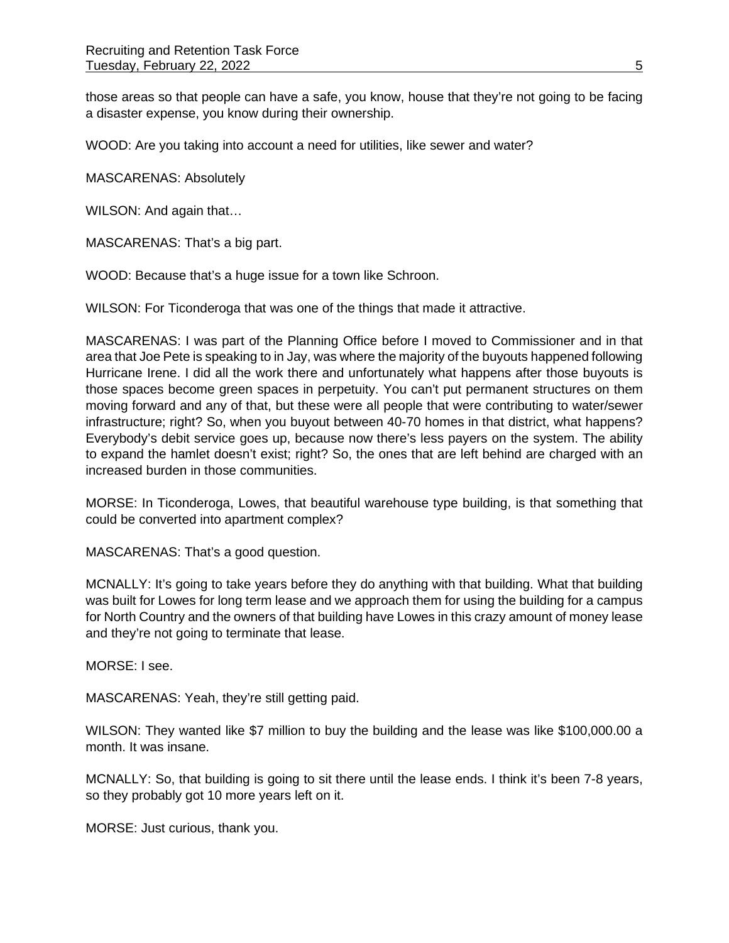those areas so that people can have a safe, you know, house that they're not going to be facing a disaster expense, you know during their ownership.

WOOD: Are you taking into account a need for utilities, like sewer and water?

MASCARENAS: Absolutely

WILSON: And again that…

MASCARENAS: That's a big part.

WOOD: Because that's a huge issue for a town like Schroon.

WILSON: For Ticonderoga that was one of the things that made it attractive.

MASCARENAS: I was part of the Planning Office before I moved to Commissioner and in that area that Joe Pete is speaking to in Jay, was where the majority of the buyouts happened following Hurricane Irene. I did all the work there and unfortunately what happens after those buyouts is those spaces become green spaces in perpetuity. You can't put permanent structures on them moving forward and any of that, but these were all people that were contributing to water/sewer infrastructure; right? So, when you buyout between 40-70 homes in that district, what happens? Everybody's debit service goes up, because now there's less payers on the system. The ability to expand the hamlet doesn't exist; right? So, the ones that are left behind are charged with an increased burden in those communities.

MORSE: In Ticonderoga, Lowes, that beautiful warehouse type building, is that something that could be converted into apartment complex?

MASCARENAS: That's a good question.

MCNALLY: It's going to take years before they do anything with that building. What that building was built for Lowes for long term lease and we approach them for using the building for a campus for North Country and the owners of that building have Lowes in this crazy amount of money lease and they're not going to terminate that lease.

MORSE: I see.

MASCARENAS: Yeah, they're still getting paid.

WILSON: They wanted like \$7 million to buy the building and the lease was like \$100,000.00 a month. It was insane.

MCNALLY: So, that building is going to sit there until the lease ends. I think it's been 7-8 years, so they probably got 10 more years left on it.

MORSE: Just curious, thank you.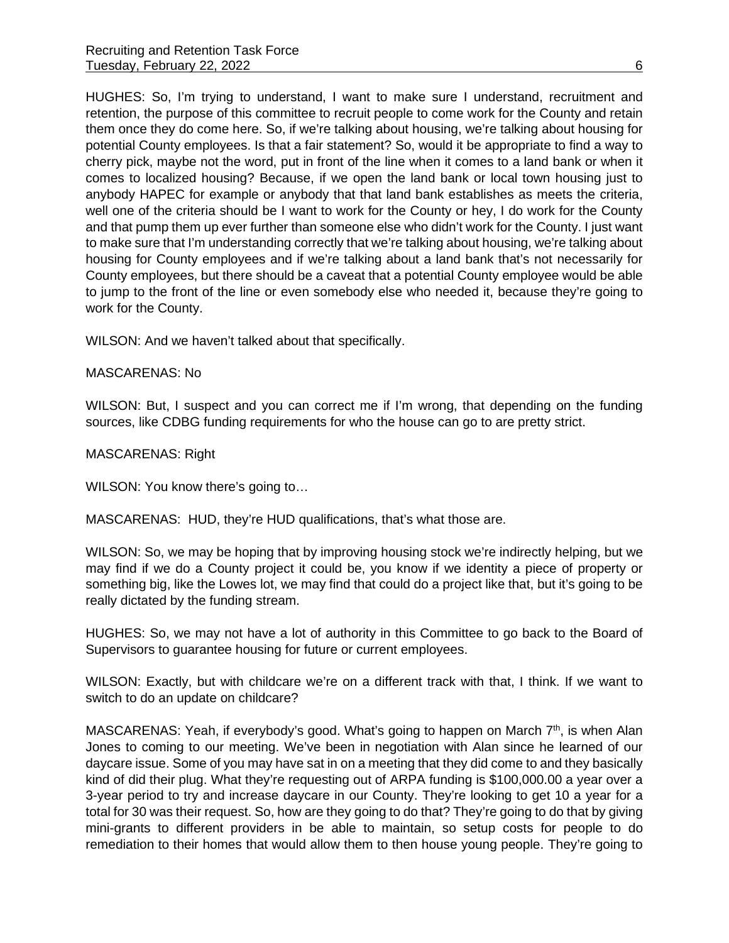HUGHES: So, I'm trying to understand, I want to make sure I understand, recruitment and retention, the purpose of this committee to recruit people to come work for the County and retain them once they do come here. So, if we're talking about housing, we're talking about housing for potential County employees. Is that a fair statement? So, would it be appropriate to find a way to cherry pick, maybe not the word, put in front of the line when it comes to a land bank or when it comes to localized housing? Because, if we open the land bank or local town housing just to anybody HAPEC for example or anybody that that land bank establishes as meets the criteria, well one of the criteria should be I want to work for the County or hey, I do work for the County and that pump them up ever further than someone else who didn't work for the County. I just want to make sure that I'm understanding correctly that we're talking about housing, we're talking about housing for County employees and if we're talking about a land bank that's not necessarily for County employees, but there should be a caveat that a potential County employee would be able to jump to the front of the line or even somebody else who needed it, because they're going to work for the County.

WILSON: And we haven't talked about that specifically.

#### MASCARENAS: No

WILSON: But, I suspect and you can correct me if I'm wrong, that depending on the funding sources, like CDBG funding requirements for who the house can go to are pretty strict.

MASCARENAS: Right

WILSON: You know there's going to...

MASCARENAS: HUD, they're HUD qualifications, that's what those are.

WILSON: So, we may be hoping that by improving housing stock we're indirectly helping, but we may find if we do a County project it could be, you know if we identity a piece of property or something big, like the Lowes lot, we may find that could do a project like that, but it's going to be really dictated by the funding stream.

HUGHES: So, we may not have a lot of authority in this Committee to go back to the Board of Supervisors to guarantee housing for future or current employees.

WILSON: Exactly, but with childcare we're on a different track with that, I think. If we want to switch to do an update on childcare?

MASCARENAS: Yeah, if everybody's good. What's going to happen on March  $7<sup>th</sup>$ , is when Alan Jones to coming to our meeting. We've been in negotiation with Alan since he learned of our daycare issue. Some of you may have sat in on a meeting that they did come to and they basically kind of did their plug. What they're requesting out of ARPA funding is \$100,000.00 a year over a 3-year period to try and increase daycare in our County. They're looking to get 10 a year for a total for 30 was their request. So, how are they going to do that? They're going to do that by giving mini-grants to different providers in be able to maintain, so setup costs for people to do remediation to their homes that would allow them to then house young people. They're going to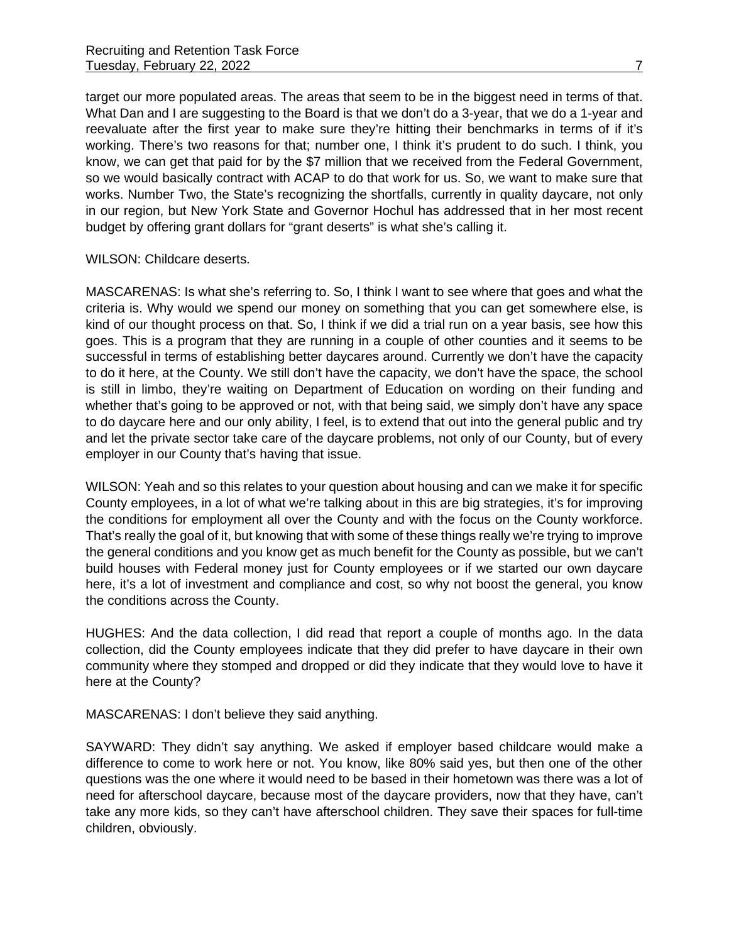target our more populated areas. The areas that seem to be in the biggest need in terms of that. What Dan and I are suggesting to the Board is that we don't do a 3-year, that we do a 1-year and reevaluate after the first year to make sure they're hitting their benchmarks in terms of if it's working. There's two reasons for that; number one, I think it's prudent to do such. I think, you know, we can get that paid for by the \$7 million that we received from the Federal Government, so we would basically contract with ACAP to do that work for us. So, we want to make sure that works. Number Two, the State's recognizing the shortfalls, currently in quality daycare, not only in our region, but New York State and Governor Hochul has addressed that in her most recent budget by offering grant dollars for "grant deserts" is what she's calling it.

#### WILSON: Childcare deserts.

MASCARENAS: Is what she's referring to. So, I think I want to see where that goes and what the criteria is. Why would we spend our money on something that you can get somewhere else, is kind of our thought process on that. So, I think if we did a trial run on a year basis, see how this goes. This is a program that they are running in a couple of other counties and it seems to be successful in terms of establishing better daycares around. Currently we don't have the capacity to do it here, at the County. We still don't have the capacity, we don't have the space, the school is still in limbo, they're waiting on Department of Education on wording on their funding and whether that's going to be approved or not, with that being said, we simply don't have any space to do daycare here and our only ability, I feel, is to extend that out into the general public and try and let the private sector take care of the daycare problems, not only of our County, but of every employer in our County that's having that issue.

WILSON: Yeah and so this relates to your question about housing and can we make it for specific County employees, in a lot of what we're talking about in this are big strategies, it's for improving the conditions for employment all over the County and with the focus on the County workforce. That's really the goal of it, but knowing that with some of these things really we're trying to improve the general conditions and you know get as much benefit for the County as possible, but we can't build houses with Federal money just for County employees or if we started our own daycare here, it's a lot of investment and compliance and cost, so why not boost the general, you know the conditions across the County.

HUGHES: And the data collection, I did read that report a couple of months ago. In the data collection, did the County employees indicate that they did prefer to have daycare in their own community where they stomped and dropped or did they indicate that they would love to have it here at the County?

MASCARENAS: I don't believe they said anything.

SAYWARD: They didn't say anything. We asked if employer based childcare would make a difference to come to work here or not. You know, like 80% said yes, but then one of the other questions was the one where it would need to be based in their hometown was there was a lot of need for afterschool daycare, because most of the daycare providers, now that they have, can't take any more kids, so they can't have afterschool children. They save their spaces for full-time children, obviously.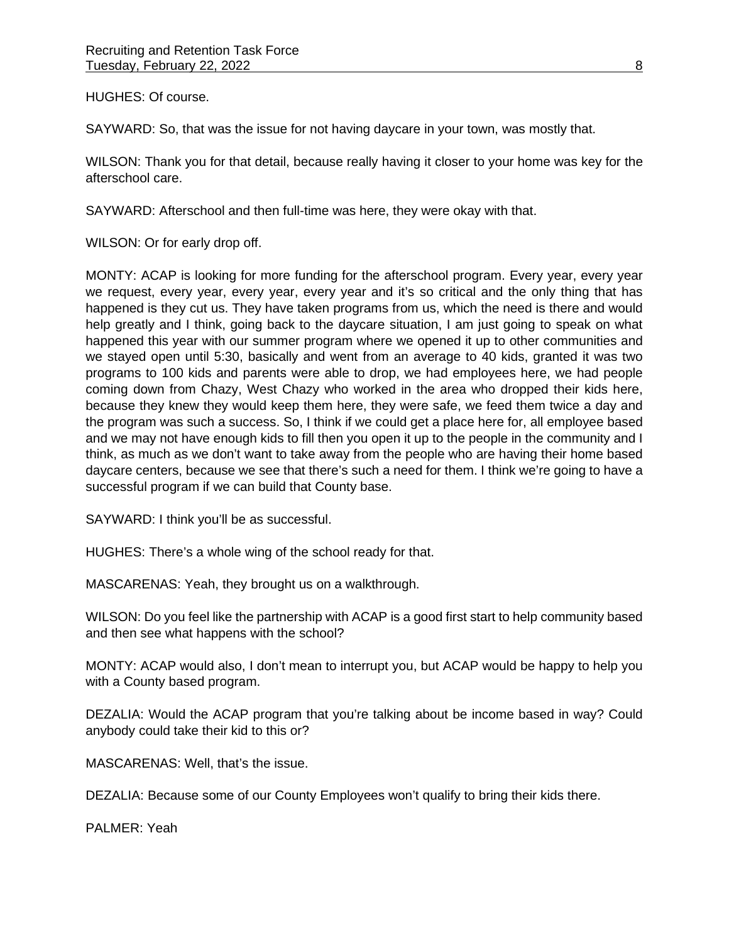HUGHES: Of course.

SAYWARD: So, that was the issue for not having daycare in your town, was mostly that.

WILSON: Thank you for that detail, because really having it closer to your home was key for the afterschool care.

SAYWARD: Afterschool and then full-time was here, they were okay with that.

WILSON: Or for early drop off.

MONTY: ACAP is looking for more funding for the afterschool program. Every year, every year we request, every year, every year, every year and it's so critical and the only thing that has happened is they cut us. They have taken programs from us, which the need is there and would help greatly and I think, going back to the daycare situation, I am just going to speak on what happened this year with our summer program where we opened it up to other communities and we stayed open until 5:30, basically and went from an average to 40 kids, granted it was two programs to 100 kids and parents were able to drop, we had employees here, we had people coming down from Chazy, West Chazy who worked in the area who dropped their kids here, because they knew they would keep them here, they were safe, we feed them twice a day and the program was such a success. So, I think if we could get a place here for, all employee based and we may not have enough kids to fill then you open it up to the people in the community and I think, as much as we don't want to take away from the people who are having their home based daycare centers, because we see that there's such a need for them. I think we're going to have a successful program if we can build that County base.

SAYWARD: I think you'll be as successful.

HUGHES: There's a whole wing of the school ready for that.

MASCARENAS: Yeah, they brought us on a walkthrough.

WILSON: Do you feel like the partnership with ACAP is a good first start to help community based and then see what happens with the school?

MONTY: ACAP would also, I don't mean to interrupt you, but ACAP would be happy to help you with a County based program.

DEZALIA: Would the ACAP program that you're talking about be income based in way? Could anybody could take their kid to this or?

MASCARENAS: Well, that's the issue.

DEZALIA: Because some of our County Employees won't qualify to bring their kids there.

PALMER: Yeah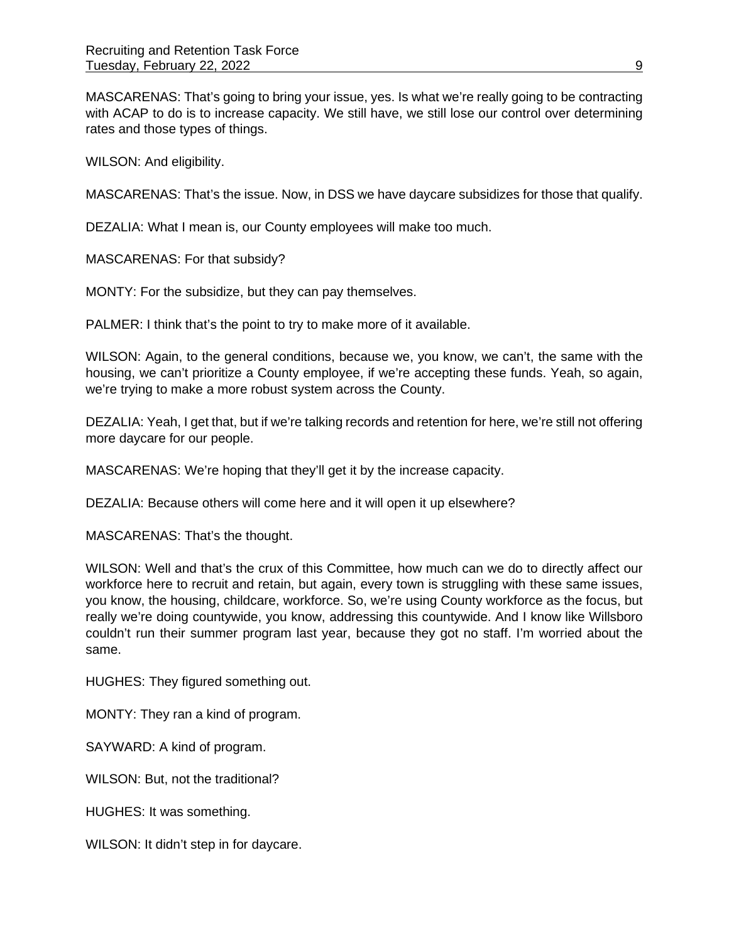MASCARENAS: That's going to bring your issue, yes. Is what we're really going to be contracting with ACAP to do is to increase capacity. We still have, we still lose our control over determining rates and those types of things.

WILSON: And eligibility.

MASCARENAS: That's the issue. Now, in DSS we have daycare subsidizes for those that qualify.

DEZALIA: What I mean is, our County employees will make too much.

MASCARENAS: For that subsidy?

MONTY: For the subsidize, but they can pay themselves.

PALMER: I think that's the point to try to make more of it available.

WILSON: Again, to the general conditions, because we, you know, we can't, the same with the housing, we can't prioritize a County employee, if we're accepting these funds. Yeah, so again, we're trying to make a more robust system across the County.

DEZALIA: Yeah, I get that, but if we're talking records and retention for here, we're still not offering more daycare for our people.

MASCARENAS: We're hoping that they'll get it by the increase capacity.

DEZALIA: Because others will come here and it will open it up elsewhere?

MASCARENAS: That's the thought.

WILSON: Well and that's the crux of this Committee, how much can we do to directly affect our workforce here to recruit and retain, but again, every town is struggling with these same issues, you know, the housing, childcare, workforce. So, we're using County workforce as the focus, but really we're doing countywide, you know, addressing this countywide. And I know like Willsboro couldn't run their summer program last year, because they got no staff. I'm worried about the same.

HUGHES: They figured something out.

MONTY: They ran a kind of program.

SAYWARD: A kind of program.

WILSON: But, not the traditional?

HUGHES: It was something.

WILSON: It didn't step in for daycare.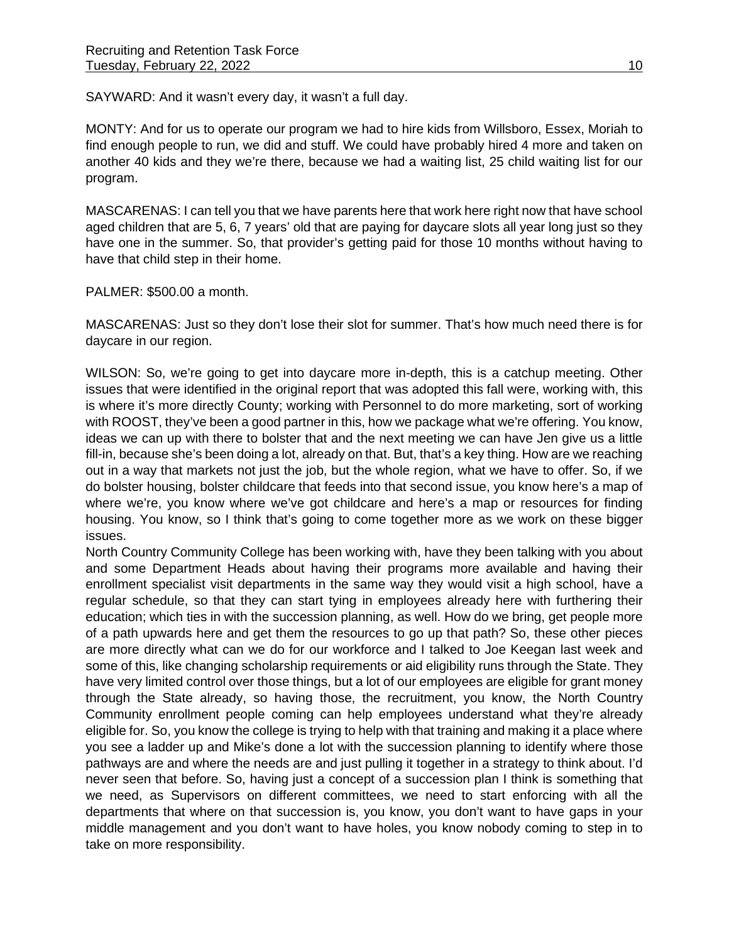SAYWARD: And it wasn't every day, it wasn't a full day.

MONTY: And for us to operate our program we had to hire kids from Willsboro, Essex, Moriah to find enough people to run, we did and stuff. We could have probably hired 4 more and taken on another 40 kids and they we're there, because we had a waiting list, 25 child waiting list for our program.

MASCARENAS: I can tell you that we have parents here that work here right now that have school aged children that are 5, 6, 7 years' old that are paying for daycare slots all year long just so they have one in the summer. So, that provider's getting paid for those 10 months without having to have that child step in their home.

PALMER: \$500.00 a month.

MASCARENAS: Just so they don't lose their slot for summer. That's how much need there is for daycare in our region.

WILSON: So, we're going to get into daycare more in-depth, this is a catchup meeting. Other issues that were identified in the original report that was adopted this fall were, working with, this is where it's more directly County; working with Personnel to do more marketing, sort of working with ROOST, they've been a good partner in this, how we package what we're offering. You know, ideas we can up with there to bolster that and the next meeting we can have Jen give us a little fill-in, because she's been doing a lot, already on that. But, that's a key thing. How are we reaching out in a way that markets not just the job, but the whole region, what we have to offer. So, if we do bolster housing, bolster childcare that feeds into that second issue, you know here's a map of where we're, you know where we've got childcare and here's a map or resources for finding housing. You know, so I think that's going to come together more as we work on these bigger issues.

North Country Community College has been working with, have they been talking with you about and some Department Heads about having their programs more available and having their enrollment specialist visit departments in the same way they would visit a high school, have a regular schedule, so that they can start tying in employees already here with furthering their education; which ties in with the succession planning, as well. How do we bring, get people more of a path upwards here and get them the resources to go up that path? So, these other pieces are more directly what can we do for our workforce and I talked to Joe Keegan last week and some of this, like changing scholarship requirements or aid eligibility runs through the State. They have very limited control over those things, but a lot of our employees are eligible for grant money through the State already, so having those, the recruitment, you know, the North Country Community enrollment people coming can help employees understand what they're already eligible for. So, you know the college is trying to help with that training and making it a place where you see a ladder up and Mike's done a lot with the succession planning to identify where those pathways are and where the needs are and just pulling it together in a strategy to think about. I'd never seen that before. So, having just a concept of a succession plan I think is something that we need, as Supervisors on different committees, we need to start enforcing with all the departments that where on that succession is, you know, you don't want to have gaps in your middle management and you don't want to have holes, you know nobody coming to step in to take on more responsibility.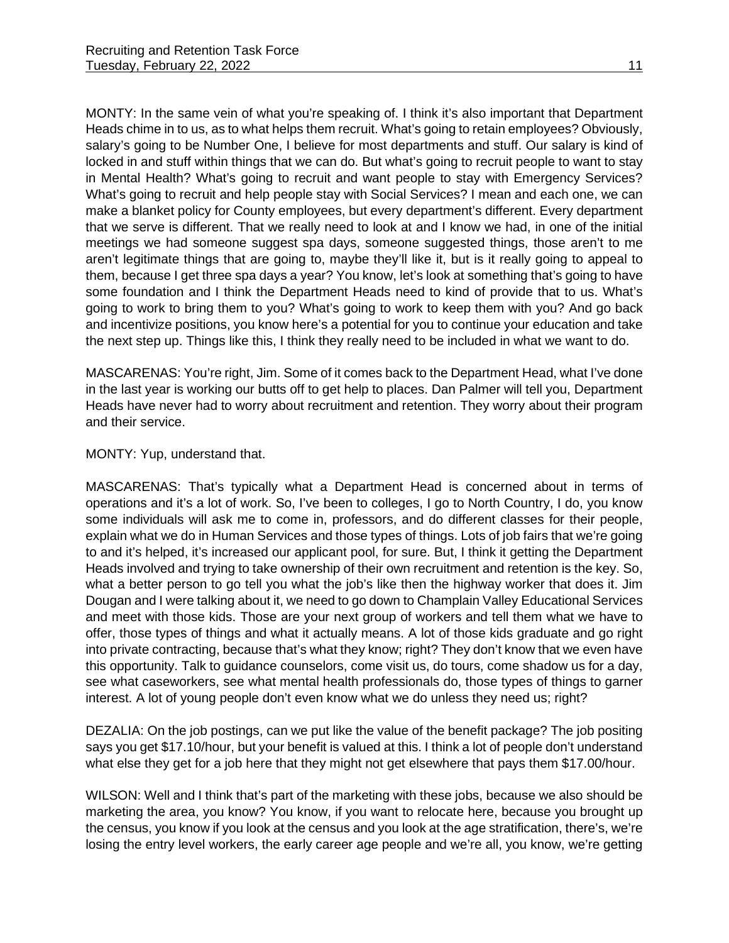MONTY: In the same vein of what you're speaking of. I think it's also important that Department Heads chime in to us, as to what helps them recruit. What's going to retain employees? Obviously, salary's going to be Number One, I believe for most departments and stuff. Our salary is kind of locked in and stuff within things that we can do. But what's going to recruit people to want to stay in Mental Health? What's going to recruit and want people to stay with Emergency Services? What's going to recruit and help people stay with Social Services? I mean and each one, we can make a blanket policy for County employees, but every department's different. Every department that we serve is different. That we really need to look at and I know we had, in one of the initial meetings we had someone suggest spa days, someone suggested things, those aren't to me aren't legitimate things that are going to, maybe they'll like it, but is it really going to appeal to them, because I get three spa days a year? You know, let's look at something that's going to have some foundation and I think the Department Heads need to kind of provide that to us. What's going to work to bring them to you? What's going to work to keep them with you? And go back and incentivize positions, you know here's a potential for you to continue your education and take the next step up. Things like this, I think they really need to be included in what we want to do.

MASCARENAS: You're right, Jim. Some of it comes back to the Department Head, what I've done in the last year is working our butts off to get help to places. Dan Palmer will tell you, Department Heads have never had to worry about recruitment and retention. They worry about their program and their service.

MONTY: Yup, understand that.

MASCARENAS: That's typically what a Department Head is concerned about in terms of operations and it's a lot of work. So, I've been to colleges, I go to North Country, I do, you know some individuals will ask me to come in, professors, and do different classes for their people, explain what we do in Human Services and those types of things. Lots of job fairs that we're going to and it's helped, it's increased our applicant pool, for sure. But, I think it getting the Department Heads involved and trying to take ownership of their own recruitment and retention is the key. So, what a better person to go tell you what the job's like then the highway worker that does it. Jim Dougan and I were talking about it, we need to go down to Champlain Valley Educational Services and meet with those kids. Those are your next group of workers and tell them what we have to offer, those types of things and what it actually means. A lot of those kids graduate and go right into private contracting, because that's what they know; right? They don't know that we even have this opportunity. Talk to guidance counselors, come visit us, do tours, come shadow us for a day, see what caseworkers, see what mental health professionals do, those types of things to garner interest. A lot of young people don't even know what we do unless they need us; right?

DEZALIA: On the job postings, can we put like the value of the benefit package? The job positing says you get \$17.10/hour, but your benefit is valued at this. I think a lot of people don't understand what else they get for a job here that they might not get elsewhere that pays them \$17.00/hour.

WILSON: Well and I think that's part of the marketing with these jobs, because we also should be marketing the area, you know? You know, if you want to relocate here, because you brought up the census, you know if you look at the census and you look at the age stratification, there's, we're losing the entry level workers, the early career age people and we're all, you know, we're getting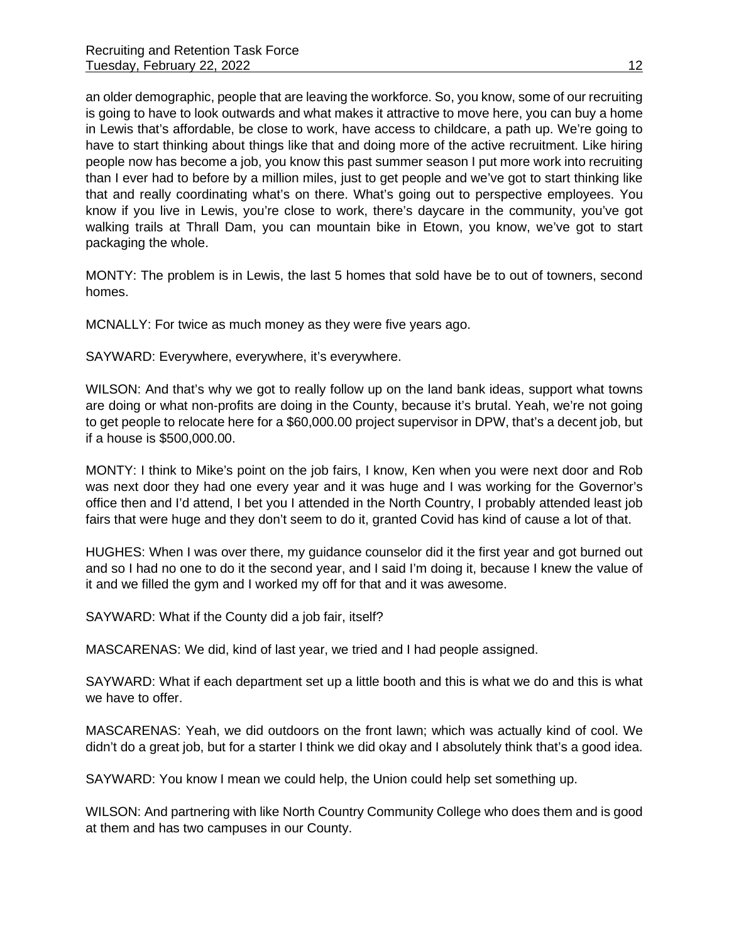an older demographic, people that are leaving the workforce. So, you know, some of our recruiting is going to have to look outwards and what makes it attractive to move here, you can buy a home in Lewis that's affordable, be close to work, have access to childcare, a path up. We're going to have to start thinking about things like that and doing more of the active recruitment. Like hiring people now has become a job, you know this past summer season I put more work into recruiting than I ever had to before by a million miles, just to get people and we've got to start thinking like that and really coordinating what's on there. What's going out to perspective employees. You know if you live in Lewis, you're close to work, there's daycare in the community, you've got walking trails at Thrall Dam, you can mountain bike in Etown, you know, we've got to start packaging the whole.

MONTY: The problem is in Lewis, the last 5 homes that sold have be to out of towners, second homes.

MCNALLY: For twice as much money as they were five years ago.

SAYWARD: Everywhere, everywhere, it's everywhere.

WILSON: And that's why we got to really follow up on the land bank ideas, support what towns are doing or what non-profits are doing in the County, because it's brutal. Yeah, we're not going to get people to relocate here for a \$60,000.00 project supervisor in DPW, that's a decent job, but if a house is \$500,000.00.

MONTY: I think to Mike's point on the job fairs, I know, Ken when you were next door and Rob was next door they had one every year and it was huge and I was working for the Governor's office then and I'd attend, I bet you I attended in the North Country, I probably attended least job fairs that were huge and they don't seem to do it, granted Covid has kind of cause a lot of that.

HUGHES: When I was over there, my guidance counselor did it the first year and got burned out and so I had no one to do it the second year, and I said I'm doing it, because I knew the value of it and we filled the gym and I worked my off for that and it was awesome.

SAYWARD: What if the County did a job fair, itself?

MASCARENAS: We did, kind of last year, we tried and I had people assigned.

SAYWARD: What if each department set up a little booth and this is what we do and this is what we have to offer.

MASCARENAS: Yeah, we did outdoors on the front lawn; which was actually kind of cool. We didn't do a great job, but for a starter I think we did okay and I absolutely think that's a good idea.

SAYWARD: You know I mean we could help, the Union could help set something up.

WILSON: And partnering with like North Country Community College who does them and is good at them and has two campuses in our County.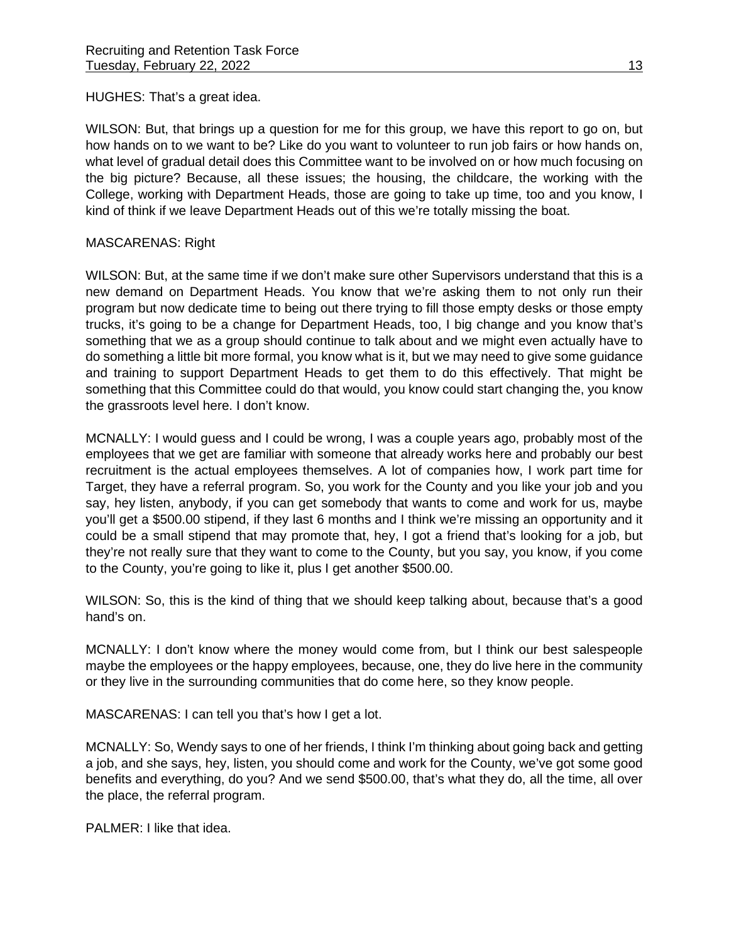HUGHES: That's a great idea.

WILSON: But, that brings up a question for me for this group, we have this report to go on, but how hands on to we want to be? Like do you want to volunteer to run job fairs or how hands on, what level of gradual detail does this Committee want to be involved on or how much focusing on the big picture? Because, all these issues; the housing, the childcare, the working with the College, working with Department Heads, those are going to take up time, too and you know, I kind of think if we leave Department Heads out of this we're totally missing the boat.

## MASCARENAS: Right

WILSON: But, at the same time if we don't make sure other Supervisors understand that this is a new demand on Department Heads. You know that we're asking them to not only run their program but now dedicate time to being out there trying to fill those empty desks or those empty trucks, it's going to be a change for Department Heads, too, I big change and you know that's something that we as a group should continue to talk about and we might even actually have to do something a little bit more formal, you know what is it, but we may need to give some guidance and training to support Department Heads to get them to do this effectively. That might be something that this Committee could do that would, you know could start changing the, you know the grassroots level here. I don't know.

MCNALLY: I would guess and I could be wrong, I was a couple years ago, probably most of the employees that we get are familiar with someone that already works here and probably our best recruitment is the actual employees themselves. A lot of companies how, I work part time for Target, they have a referral program. So, you work for the County and you like your job and you say, hey listen, anybody, if you can get somebody that wants to come and work for us, maybe you'll get a \$500.00 stipend, if they last 6 months and I think we're missing an opportunity and it could be a small stipend that may promote that, hey, I got a friend that's looking for a job, but they're not really sure that they want to come to the County, but you say, you know, if you come to the County, you're going to like it, plus I get another \$500.00.

WILSON: So, this is the kind of thing that we should keep talking about, because that's a good hand's on.

MCNALLY: I don't know where the money would come from, but I think our best salespeople maybe the employees or the happy employees, because, one, they do live here in the community or they live in the surrounding communities that do come here, so they know people.

MASCARENAS: I can tell you that's how I get a lot.

MCNALLY: So, Wendy says to one of her friends, I think I'm thinking about going back and getting a job, and she says, hey, listen, you should come and work for the County, we've got some good benefits and everything, do you? And we send \$500.00, that's what they do, all the time, all over the place, the referral program.

PALMER: I like that idea.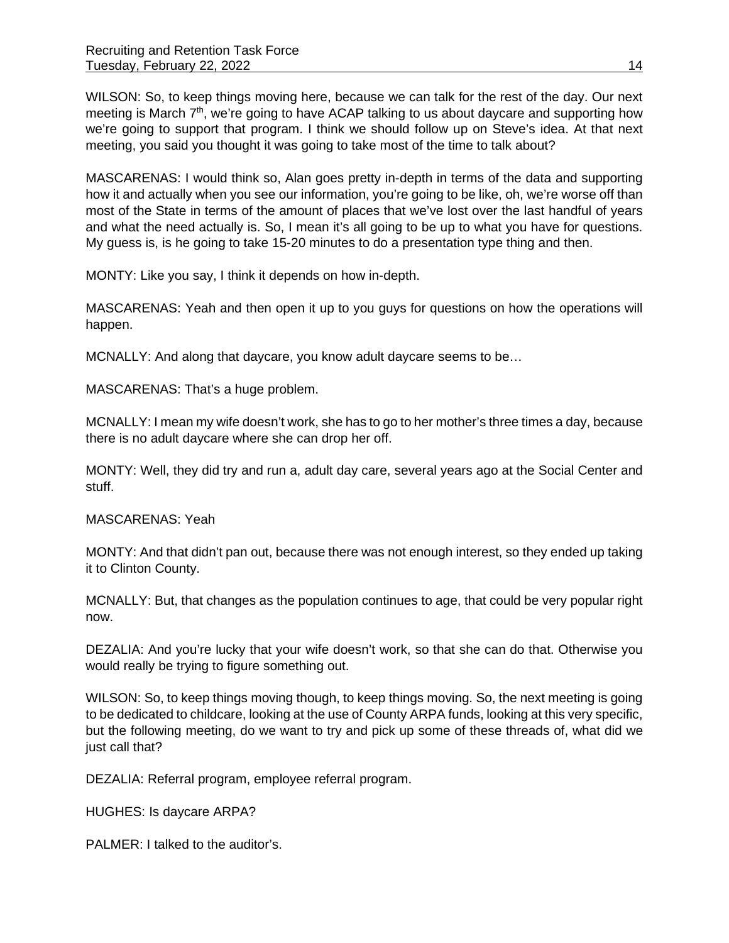WILSON: So, to keep things moving here, because we can talk for the rest of the day. Our next meeting is March 7<sup>th</sup>, we're going to have ACAP talking to us about daycare and supporting how we're going to support that program. I think we should follow up on Steve's idea. At that next meeting, you said you thought it was going to take most of the time to talk about?

MASCARENAS: I would think so, Alan goes pretty in-depth in terms of the data and supporting how it and actually when you see our information, you're going to be like, oh, we're worse off than most of the State in terms of the amount of places that we've lost over the last handful of years and what the need actually is. So, I mean it's all going to be up to what you have for questions. My guess is, is he going to take 15-20 minutes to do a presentation type thing and then.

MONTY: Like you say, I think it depends on how in-depth.

MASCARENAS: Yeah and then open it up to you guys for questions on how the operations will happen.

MCNALLY: And along that daycare, you know adult daycare seems to be…

MASCARENAS: That's a huge problem.

MCNALLY: I mean my wife doesn't work, she has to go to her mother's three times a day, because there is no adult daycare where she can drop her off.

MONTY: Well, they did try and run a, adult day care, several years ago at the Social Center and stuff.

MASCARENAS: Yeah

MONTY: And that didn't pan out, because there was not enough interest, so they ended up taking it to Clinton County.

MCNALLY: But, that changes as the population continues to age, that could be very popular right now.

DEZALIA: And you're lucky that your wife doesn't work, so that she can do that. Otherwise you would really be trying to figure something out.

WILSON: So, to keep things moving though, to keep things moving. So, the next meeting is going to be dedicated to childcare, looking at the use of County ARPA funds, looking at this very specific, but the following meeting, do we want to try and pick up some of these threads of, what did we just call that?

DEZALIA: Referral program, employee referral program.

HUGHES: Is daycare ARPA?

PALMER: I talked to the auditor's.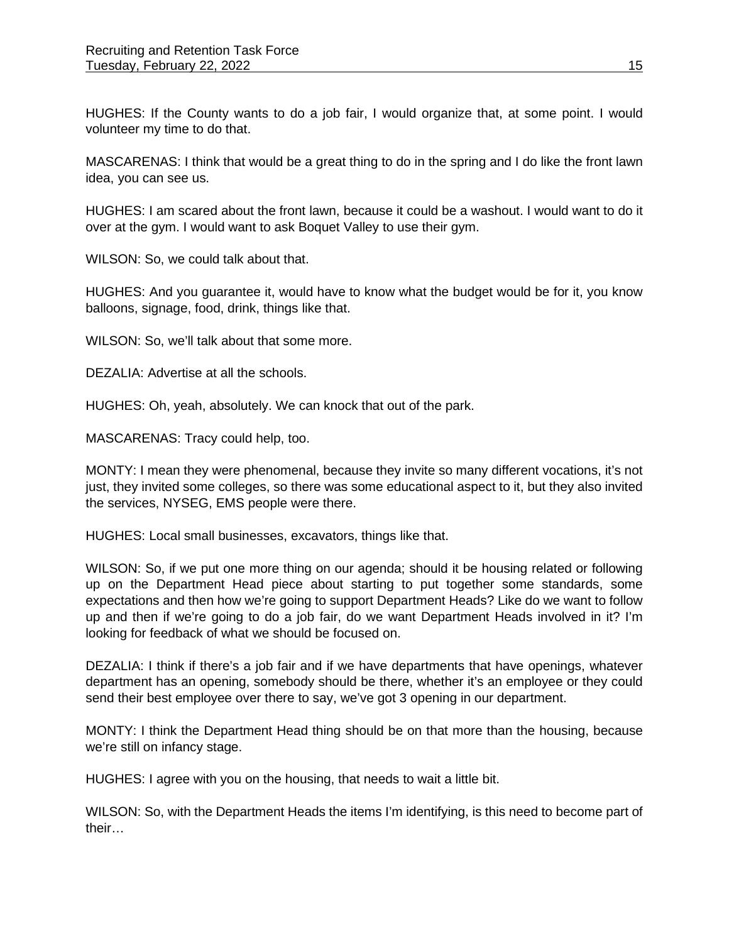HUGHES: If the County wants to do a job fair, I would organize that, at some point. I would volunteer my time to do that.

MASCARENAS: I think that would be a great thing to do in the spring and I do like the front lawn idea, you can see us.

HUGHES: I am scared about the front lawn, because it could be a washout. I would want to do it over at the gym. I would want to ask Boquet Valley to use their gym.

WILSON: So, we could talk about that.

HUGHES: And you guarantee it, would have to know what the budget would be for it, you know balloons, signage, food, drink, things like that.

WILSON: So, we'll talk about that some more.

DEZALIA: Advertise at all the schools.

HUGHES: Oh, yeah, absolutely. We can knock that out of the park.

MASCARENAS: Tracy could help, too.

MONTY: I mean they were phenomenal, because they invite so many different vocations, it's not just, they invited some colleges, so there was some educational aspect to it, but they also invited the services, NYSEG, EMS people were there.

HUGHES: Local small businesses, excavators, things like that.

WILSON: So, if we put one more thing on our agenda; should it be housing related or following up on the Department Head piece about starting to put together some standards, some expectations and then how we're going to support Department Heads? Like do we want to follow up and then if we're going to do a job fair, do we want Department Heads involved in it? I'm looking for feedback of what we should be focused on.

DEZALIA: I think if there's a job fair and if we have departments that have openings, whatever department has an opening, somebody should be there, whether it's an employee or they could send their best employee over there to say, we've got 3 opening in our department.

MONTY: I think the Department Head thing should be on that more than the housing, because we're still on infancy stage.

HUGHES: I agree with you on the housing, that needs to wait a little bit.

WILSON: So, with the Department Heads the items I'm identifying, is this need to become part of their…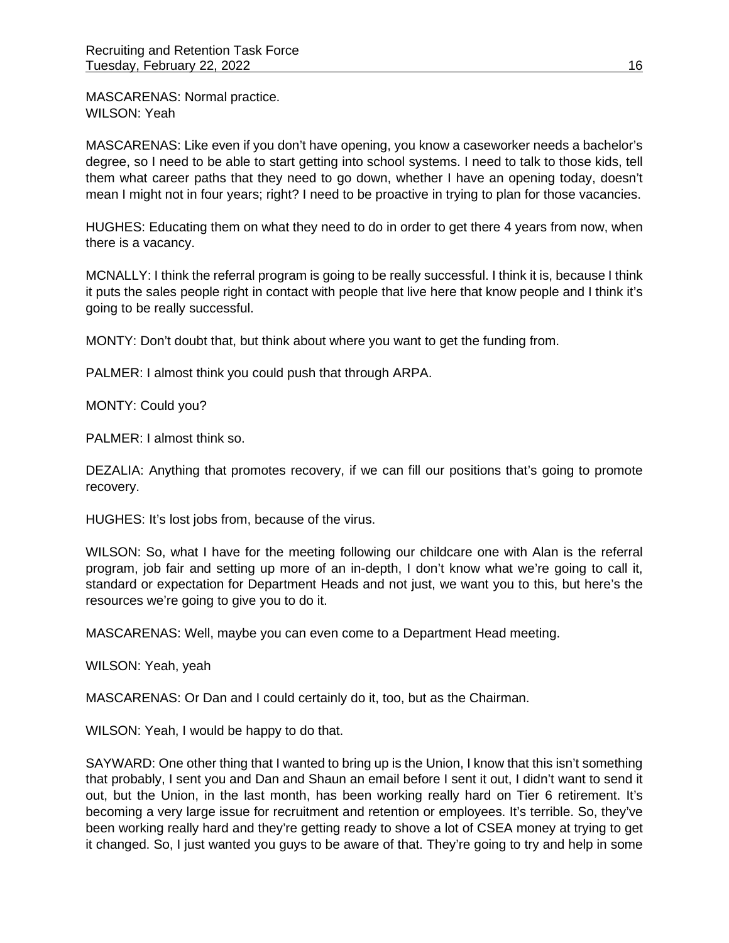MASCARENAS: Normal practice. WILSON: Yeah

MASCARENAS: Like even if you don't have opening, you know a caseworker needs a bachelor's degree, so I need to be able to start getting into school systems. I need to talk to those kids, tell them what career paths that they need to go down, whether I have an opening today, doesn't mean I might not in four years; right? I need to be proactive in trying to plan for those vacancies.

HUGHES: Educating them on what they need to do in order to get there 4 years from now, when there is a vacancy.

MCNALLY: I think the referral program is going to be really successful. I think it is, because I think it puts the sales people right in contact with people that live here that know people and I think it's going to be really successful.

MONTY: Don't doubt that, but think about where you want to get the funding from.

PALMER: I almost think you could push that through ARPA.

MONTY: Could you?

PALMER: I almost think so.

DEZALIA: Anything that promotes recovery, if we can fill our positions that's going to promote recovery.

HUGHES: It's lost jobs from, because of the virus.

WILSON: So, what I have for the meeting following our childcare one with Alan is the referral program, job fair and setting up more of an in-depth, I don't know what we're going to call it, standard or expectation for Department Heads and not just, we want you to this, but here's the resources we're going to give you to do it.

MASCARENAS: Well, maybe you can even come to a Department Head meeting.

WILSON: Yeah, yeah

MASCARENAS: Or Dan and I could certainly do it, too, but as the Chairman.

WILSON: Yeah, I would be happy to do that.

SAYWARD: One other thing that I wanted to bring up is the Union, I know that this isn't something that probably, I sent you and Dan and Shaun an email before I sent it out, I didn't want to send it out, but the Union, in the last month, has been working really hard on Tier 6 retirement. It's becoming a very large issue for recruitment and retention or employees. It's terrible. So, they've been working really hard and they're getting ready to shove a lot of CSEA money at trying to get it changed. So, I just wanted you guys to be aware of that. They're going to try and help in some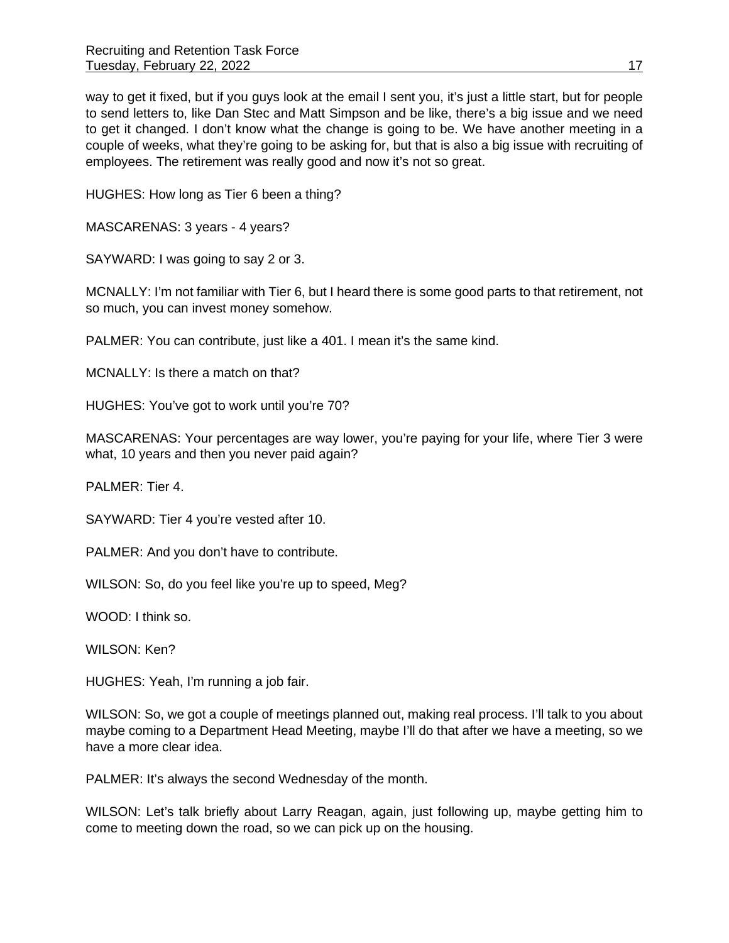way to get it fixed, but if you guys look at the email I sent you, it's just a little start, but for people to send letters to, like Dan Stec and Matt Simpson and be like, there's a big issue and we need to get it changed. I don't know what the change is going to be. We have another meeting in a couple of weeks, what they're going to be asking for, but that is also a big issue with recruiting of employees. The retirement was really good and now it's not so great.

HUGHES: How long as Tier 6 been a thing?

MASCARENAS: 3 years - 4 years?

SAYWARD: I was going to say 2 or 3.

MCNALLY: I'm not familiar with Tier 6, but I heard there is some good parts to that retirement, not so much, you can invest money somehow.

PALMER: You can contribute, just like a 401. I mean it's the same kind.

MCNALLY: Is there a match on that?

HUGHES: You've got to work until you're 70?

MASCARENAS: Your percentages are way lower, you're paying for your life, where Tier 3 were what, 10 years and then you never paid again?

PALMER: Tier 4.

SAYWARD: Tier 4 you're vested after 10.

PALMER: And you don't have to contribute.

WILSON: So, do you feel like you're up to speed, Meg?

WOOD: I think so.

WILSON: Ken?

HUGHES: Yeah, I'm running a job fair.

WILSON: So, we got a couple of meetings planned out, making real process. I'll talk to you about maybe coming to a Department Head Meeting, maybe I'll do that after we have a meeting, so we have a more clear idea.

PALMER: It's always the second Wednesday of the month.

WILSON: Let's talk briefly about Larry Reagan, again, just following up, maybe getting him to come to meeting down the road, so we can pick up on the housing.